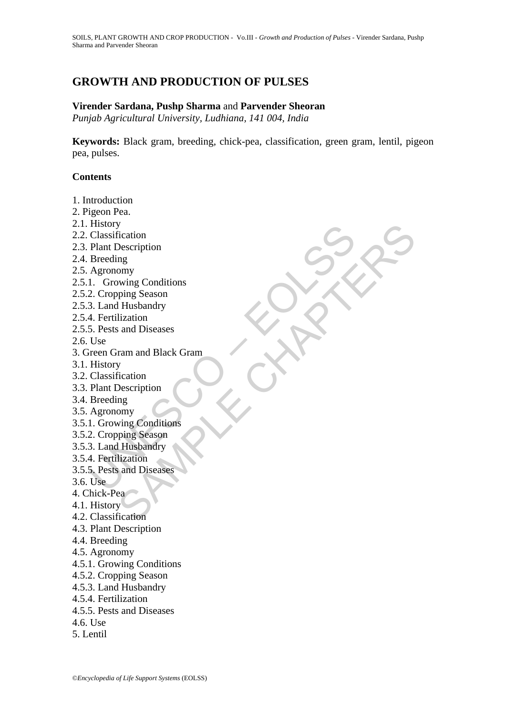# **GROWTH AND PRODUCTION OF PULSES**

#### **Virender Sardana, Pushp Sharma** and **Parvender Sheoran**

*Punjab Agricultural University, Ludhiana, 141 004, India*

**Keywords:** Black gram, breeding, chick-pea, classification, green gram, lentil, pigeon pea, pulses.

### **Contents**

mstory<br>Classification<br>Plant Description<br>Breeding<br>Agronomy<br>1. Growing Conditions<br>2. Cropping Season<br>3. Land Husbandry<br>4. Fertilization<br>Plant Description<br>Reeding<br>Agronomy<br>1. Growing Conditions<br>Breeding<br>Agronomy<br>1. Growing Co y<br>
Visitation<br>
University Conditions<br>
Thusbandry<br>
Il Husbandry<br>
Ilization<br>
and Diseases<br>
Tam and Black Gram<br>
Description<br>
Thusbandry<br>
ving Conditions<br>
ving Conditions<br>
Husbandry<br>
and Diseases<br>
and Diseases<br>
V<br>
V<br>
V<br>
V<br>
V<br> 1. Introduction 2. Pigeon Pea. 2.1. History 2.2. Classification 2.3. Plant Description 2.4. Breeding 2.5. Agronomy 2.5.1. Growing Conditions 2.5.2. Cropping Season 2.5.3. Land Husbandry 2.5.4. Fertilization 2.5.5. Pests and Diseases 2.6. Use 3. Green Gram and Black Gram 3.1. History 3.2. Classification 3.3. Plant Description 3.4. Breeding 3.5. Agronomy 3.5.1. Growing Conditions 3.5.2. Cropping Season 3.5.3. Land Husbandry 3.5.4. Fertilization 3.5.5. Pests and Diseases 3.6. Use 4. Chick-Pea 4.1. History 4.2. Classification 4.3. Plant Description 4.4. Breeding 4.5. Agronomy 4.5.1. Growing Conditions 4.5.2. Cropping Season 4.5.3. Land Husbandry 4.5.4. Fertilization 4.5.5. Pests and Diseases 4.6. Use 5. Lentil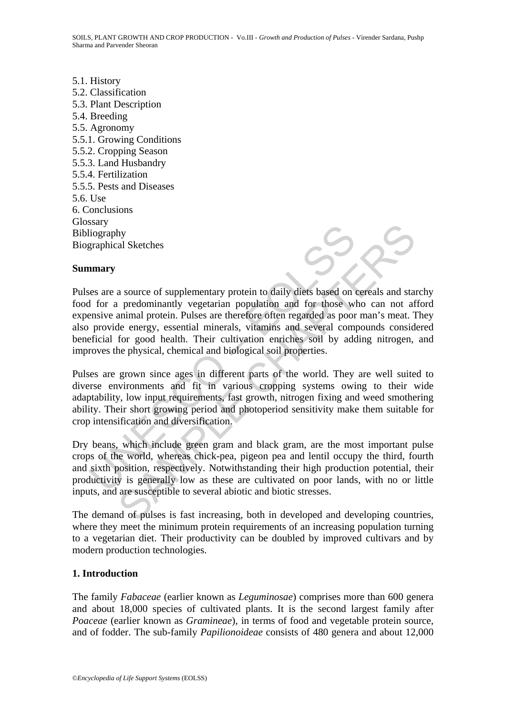5.1. History 5.2. Classification 5.3. Plant Description 5.4. Breeding 5.5. Agronomy 5.5.1. Growing Conditions 5.5.2. Cropping Season 5.5.3. Land Husbandry 5.5.4. Fertilization 5.5.5. Pests and Diseases 5.6. Use 6. Conclusions Glossary Bibliography Biographical Sketches

### **Summary**

Since<br>
ilography<br>
isography<br>
graphical Sketches<br>
es are a source of supplementary protein to daily diets based on<br>
a for a predominantly vegetarian population and for those wi<br>
ensive animal protein. Pulses are therefore o Many<br>
al Sketches<br>
a source of supplementary protein to daily diets based on cereals and sta<br>
a minal protein. Pulses are therefore ôften regarded as poor man's meat.<br>
Thanking protein and the energy, essential minerals, v Pulses are a source of supplementary protein to daily diets based on cereals and starchy food for a predominantly vegetarian population and for those who can not afford expensive animal protein. Pulses are therefore often regarded as poor man's meat. They also provide energy, essential minerals, vitamins and several compounds considered beneficial for good health. Their cultivation enriches soil by adding nitrogen, and improves the physical, chemical and biological soil properties.

Pulses are grown since ages in different parts of the world. They are well suited to diverse environments and fit in various cropping systems owing to their wide adaptability, low input requirements, fast growth, nitrogen fixing and weed smothering ability. Their short growing period and photoperiod sensitivity make them suitable for crop intensification and diversification.

Dry beans, which include green gram and black gram, are the most important pulse crops of the world, whereas chick-pea, pigeon pea and lentil occupy the third, fourth and sixth position, respectively. Notwithstanding their high production potential, their productivity is generally low as these are cultivated on poor lands, with no or little inputs, and are susceptible to several abiotic and biotic stresses.

The demand of pulses is fast increasing, both in developed and developing countries, where they meet the minimum protein requirements of an increasing population turning to a vegetarian diet. Their productivity can be doubled by improved cultivars and by modern production technologies.

#### **1. Introduction**

The family *Fabaceae* (earlier known as *Leguminosae*) comprises more than 600 genera and about 18,000 species of cultivated plants. It is the second largest family after *Poaceae* (earlier known as *Gramineae*), in terms of food and vegetable protein source, and of fodder. The sub-family *Papilionoideae* consists of 480 genera and about 12,000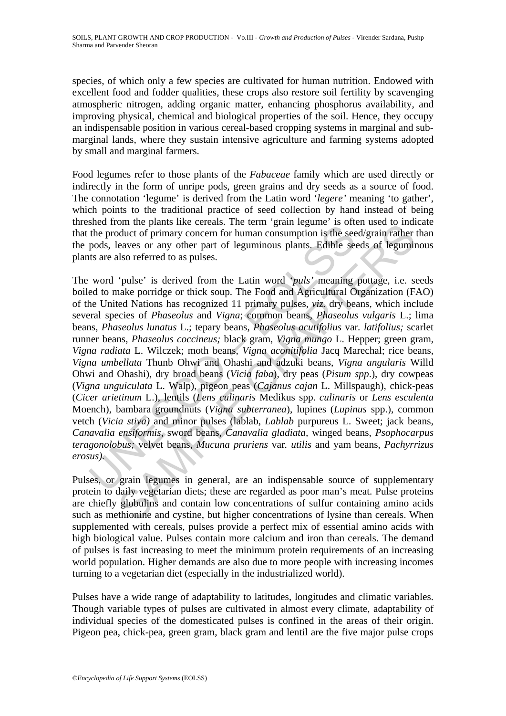species, of which only a few species are cultivated for human nutrition. Endowed with excellent food and fodder qualities, these crops also restore soil fertility by scavenging atmospheric nitrogen, adding organic matter, enhancing phosphorus availability, and improving physical, chemical and biological properties of the soil. Hence, they occupy an indispensable position in various cereal-based cropping systems in marginal and submarginal lands, where they sustain intensive agriculture and farming systems adopted by small and marginal farmers.

Food legumes refer to those plants of the *Fabaceae* family which are used directly or indirectly in the form of unripe pods, green grains and dry seeds as a source of food. The connotation 'legume' is derived from the Latin word '*legere'* meaning 'to gather', which points to the traditional practice of seed collection by hand instead of being threshed from the plants like cereals. The term 'grain legume' is often used to indicate that the product of primary concern for human consumption is the seed/grain rather than the pods, leaves or any other part of leguminous plants. Edible seeds of leguminous plants are also referred to as pulses.

Shell to prefain the putation of primary concern for human consumption is the set of primary concern for human consumption is the set pods, leaves or any other part of leguminous plants. Edible set to the set of primary c on un epants that creats. The term gian egame is other due to much and the particle of primary concern for human consumption is the seed/grain rather eaves or any other part of leguminous plants. Edible seeds of legumin a The word 'pulse' is derived from the Latin word '*puls'* meaning pottage, i.e. seeds boiled to make porridge or thick soup. The Food and Agricultural Organization (FAO) of the United Nations has recognized 11 primary pulses, *viz.* dry beans, which include several species of *Phaseolus* and *Vigna*; common beans, *Phaseolus vulgaris* L.; lima beans, *Phaseolus lunatus* L.; tepary beans, *Phaseolus acutifolius* var*. latifolius;* scarlet runner beans, *Phaseolus coccineus;* black gram, *Vigna mungo* L. Hepper; green gram, *Vigna radiata* L. Wilczek; moth beans, *Vigna aconitifolia* Jacq Marechal; rice beans, *Vigna umbellata* Thunb Ohwi and Ohashi and adzuki beans, *Vigna angularis* Willd Ohwi and Ohashi), dry broad beans (*Vicia faba*), dry peas (*Pisum spp*.), dry cowpeas (*Vigna unguiculata* L. Walp), pigeon peas (*Cajanus cajan* L. Millspaugh), chick-peas (*Cicer arietinum* L.), lentils (*Lens culinaris* Medikus spp. *culinaris* or *Lens esculenta*  Moench), bambara groundnuts (*Vigna subterranea*), lupines (*Lupinus* spp.), common vetch (*Vicia stiva)* and minor pulses (lablab, *Lablab* purpureus L. Sweet; jack beans, *Canavalia ensiformis,* sword beans, *Canavalia gladiata,* winged beans, *Psophocarpus teragonolobus;* velvet beans, *Mucuna pruriens* var*. utilis* and yam beans, *Pachyrrizus erosus).*

Pulses, or grain legumes in general, are an indispensable source of supplementary protein to daily vegetarian diets; these are regarded as poor man's meat. Pulse proteins are chiefly globulins and contain low concentrations of sulfur containing amino acids such as methionine and cystine, but higher concentrations of lysine than cereals. When supplemented with cereals, pulses provide a perfect mix of essential amino acids with high biological value. Pulses contain more calcium and iron than cereals. The demand of pulses is fast increasing to meet the minimum protein requirements of an increasing world population. Higher demands are also due to more people with increasing incomes turning to a vegetarian diet (especially in the industrialized world).

Pulses have a wide range of adaptability to latitudes, longitudes and climatic variables. Though variable types of pulses are cultivated in almost every climate, adaptability of individual species of the domesticated pulses is confined in the areas of their origin. Pigeon pea, chick-pea, green gram, black gram and lentil are the five major pulse crops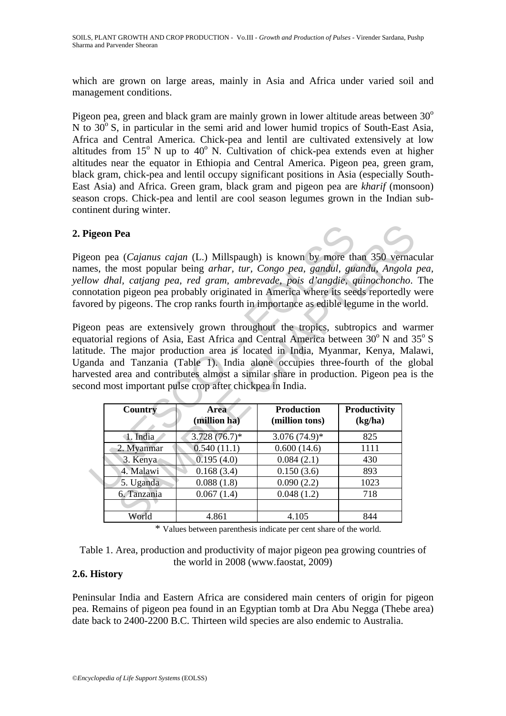which are grown on large areas, mainly in Asia and Africa under varied soil and management conditions.

Pigeon pea, green and black gram are mainly grown in lower altitude areas between  $30^{\circ}$ N to  $30^{\circ}$  S, in particular in the semi arid and lower humid tropics of South-East Asia, Africa and Central America. Chick-pea and lentil are cultivated extensively at low altitudes from  $15^{\circ}$  N up to  $40^{\circ}$  N. Cultivation of chick-pea extends even at higher altitudes near the equator in Ethiopia and Central America. Pigeon pea, green gram, black gram, chick-pea and lentil occupy significant positions in Asia (especially South-East Asia) and Africa. Green gram, black gram and pigeon pea are *kharif* (monsoon) season crops. Chick-pea and lentil are cool season legumes grown in the Indian subcontinent during winter.

### **2. Pigeon Pea**

Pigeon pea (*Cajanus cajan* (L.) Millspaugh) is known by more than 350 vernacular names, the most popular being *arhar, tur, Congo pea, gandul, guandu, Angola pea, yellow dhal, catjang pea, red gram, ambrevade, pois d'angdie, quinochoncho*. The connotation pigeon pea probably originated in America where its seeds reportedly were favored by pigeons. The crop ranks fourth in importance as edible legume in the world.

Pigeon peas are extensively grown throughout the tropics, subtropics and warmer equatorial regions of Asia, East Africa and Central America between  $30^{\circ}$  N and  $35^{\circ}$  S latitude. The major production area is located in India, Myanmar, Kenya, Malawi, Uganda and Tanzania (Table 1). India alone occupies three-fourth of the global harvested area and contributes almost a similar share in production. Pigeon pea is the second most important pulse crop after chickpea in India.

| igeon Pea                                                               |                                                                                                                                                                                                                                                                                                                                                                                                                                                                                                                                                                     |                                     |                                |  |
|-------------------------------------------------------------------------|---------------------------------------------------------------------------------------------------------------------------------------------------------------------------------------------------------------------------------------------------------------------------------------------------------------------------------------------------------------------------------------------------------------------------------------------------------------------------------------------------------------------------------------------------------------------|-------------------------------------|--------------------------------|--|
| ude. The major production area is located in India, Myanmar, Kenya, Mal | con pea (Cajanus cajan (L.) Millspaugh) is known by more than 350 vernace<br>es, the most popular being arhar, tur, Congo pea, gandul, guandu, Angola<br>ow dhal, catjang pea, red gram, ambrevade, pois d'angdie, quinochoncho.<br>notation pigeon pea probably originated in America where its seeds reportedly v<br>ored by pigeons. The crop ranks fourth in importance as edible legume in the wor<br>con peas are extensively grown throughout the tropics, subtropics and war<br>atorial regions of Asia, East Africa and Central America between 30°N and 3 |                                     |                                |  |
|                                                                         | nda and Tanzania (Table 1). India alone occupies three-fourth of the gl<br>ested area and contributes almost a similar share in production. Pigeon pea is<br>ond most important pulse crop after chickpea in India.                                                                                                                                                                                                                                                                                                                                                 |                                     |                                |  |
| <b>Country</b>                                                          | <b>Area</b><br>(million ha)                                                                                                                                                                                                                                                                                                                                                                                                                                                                                                                                         | <b>Production</b><br>(million tons) | <b>Productivity</b><br>(kg/ha) |  |
| 1. India                                                                |                                                                                                                                                                                                                                                                                                                                                                                                                                                                                                                                                                     | $3.076(74.9)^*$                     | 825                            |  |
| 2. Myanmar                                                              | $3.728(76.7)^*$<br>0.540(11.1)                                                                                                                                                                                                                                                                                                                                                                                                                                                                                                                                      | 0.600(14.6)                         | 1111                           |  |
| 3. Kenya                                                                | 0.195(4.0)                                                                                                                                                                                                                                                                                                                                                                                                                                                                                                                                                          | 0.084(2.1)                          | 430                            |  |
| 4. Malawi                                                               | 0.168(3.4)                                                                                                                                                                                                                                                                                                                                                                                                                                                                                                                                                          | 0.150(3.6)                          | 893                            |  |
| 5. Uganda                                                               | 0.088(1.8)                                                                                                                                                                                                                                                                                                                                                                                                                                                                                                                                                          | 0.090(2.2)                          | 1023                           |  |
| 6. Tanzania                                                             | 0.067(1.4)                                                                                                                                                                                                                                                                                                                                                                                                                                                                                                                                                          | 0.048(1.2)                          | 718                            |  |
| World                                                                   | 4.861                                                                                                                                                                                                                                                                                                                                                                                                                                                                                                                                                               | 4.105                               | 844                            |  |

\* Values between parenthesis indicate per cent share of the world.

| Table 1. Area, production and productivity of major pigeon pea growing countries of |  |  |  |  |  |
|-------------------------------------------------------------------------------------|--|--|--|--|--|
| the world in 2008 (www.faostat, 2009)                                               |  |  |  |  |  |

#### **2.6. History**

Peninsular India and Eastern Africa are considered main centers of origin for pigeon pea. Remains of pigeon pea found in an Egyptian tomb at Dra Abu Negga (Thebe area) date back to 2400-2200 B.C. Thirteen wild species are also endemic to Australia.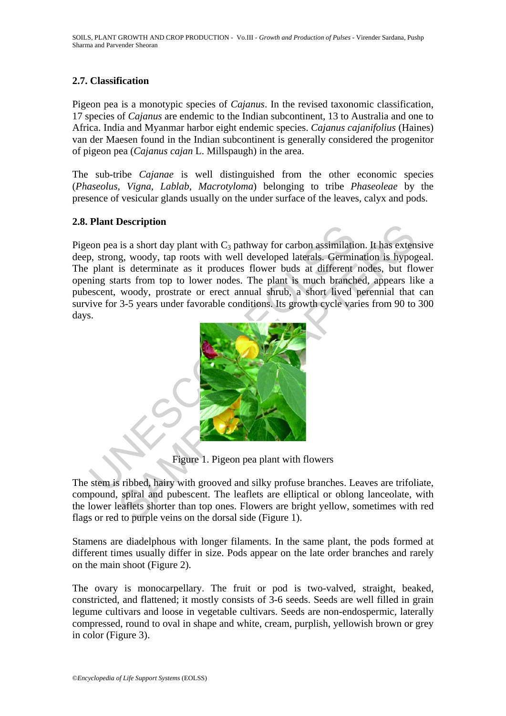# **2.7. Classification**

Pigeon pea is a monotypic species of *Cajanus*. In the revised taxonomic classification, 17 species of *Cajanus* are endemic to the Indian subcontinent, 13 to Australia and one to Africa. India and Myanmar harbor eight endemic species. *Cajanus cajanifolius* (Haines) van der Maesen found in the Indian subcontinent is generally considered the progenitor of pigeon pea (*Cajanus cajan* L. Millspaugh) in the area.

The sub-tribe *Cajanae* is well distinguished from the other economic species (*Phaseolus, Vigna, Lablab, Macrotyloma*) belonging to tribe *Phaseoleae* by the presence of vesicular glands usually on the under surface of the leaves, calyx and pods.

# **2.8. Plant Description**

The properties are in the C<sub>3</sub> pathway for carbon assimilation, strong, woody, tap roots with well developed laterals. Germin plant is determinate as it produces flower buds at different hing starts from top to lower nodes **Example 1.1**<br>
is a short day plant with C<sub>3</sub> pathway for carbon assimilation. It has extend<br>
is determination is hypogleved laterals. Germination is hypogleved laterals.<br>
and if produces flower buds at different nodes, b Pigeon pea is a short day plant with  $C_3$  pathway for carbon assimilation. It has extensive deep, strong, woody, tap roots with well developed laterals. Germination is hypogeal. The plant is determinate as it produces flower buds at different nodes, but flower opening starts from top to lower nodes. The plant is much branched, appears like a pubescent, woody, prostrate or erect annual shrub, a short lived perennial that can survive for 3-5 years under favorable conditions. Its growth cycle varies from 90 to 300 days.



Figure 1. Pigeon pea plant with flowers

The stem is ribbed, hairy with grooved and silky profuse branches. Leaves are trifoliate, compound, spiral and pubescent. The leaflets are elliptical or oblong lanceolate, with the lower leaflets shorter than top ones. Flowers are bright yellow, sometimes with red flags or red to purple veins on the dorsal side (Figure 1).

Stamens are diadelphous with longer filaments. In the same plant, the pods formed at different times usually differ in size. Pods appear on the late order branches and rarely on the main shoot (Figure 2).

The ovary is monocarpellary. The fruit or pod is two-valved, straight, beaked, constricted, and flattened; it mostly consists of 3-6 seeds. Seeds are well filled in grain legume cultivars and loose in vegetable cultivars. Seeds are non-endospermic, laterally compressed, round to oval in shape and white, cream, purplish, yellowish brown or grey in color (Figure 3).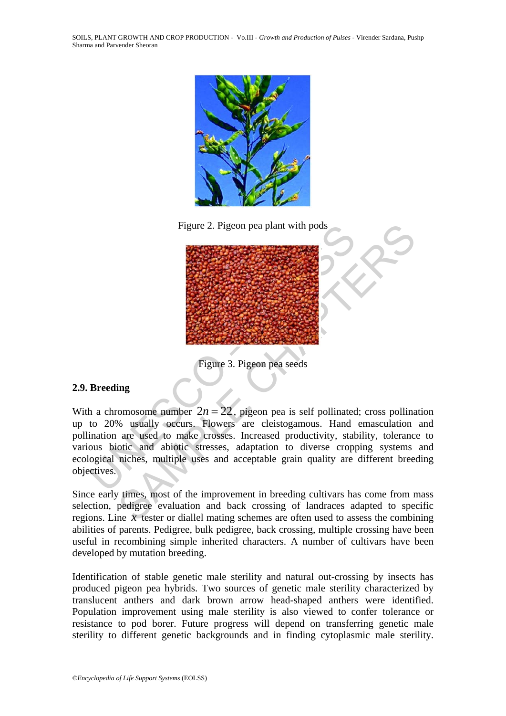SOILS, PLANT GROWTH AND CROP PRODUCTION - Vo.III - *Growth and Production of Pulses* - Virender Sardana, Pushp Sharma and Parvender Sheoran



Figure 2. Pigeon pea plant with pods



Figure 3. Pigeon pea seeds

# **2.9. Breeding**

With a chromosome number  $2n = 22$ , pigeon pea is self pollinated; cross pollination up to 20% usually occurs. Flowers are cleistogamous. Hand emasculation and pollination are used to make crosses. Increased productivity, stability, tolerance to various biotic and abiotic stresses, adaptation to diverse cropping systems and ecological niches, multiple uses and acceptable grain quality are different breeding objectives.

Since early times, most of the improvement in breeding cultivars has come from mass selection, pedigree evaluation and back crossing of landraces adapted to specific regions. Line *x* tester or diallel mating schemes are often used to assess the combining abilities of parents. Pedigree, bulk pedigree, back crossing, multiple crossing have been useful in recombining simple inherited characters. A number of cultivars have been developed by mutation breeding.

Identification of stable genetic male sterility and natural out-crossing by insects has produced pigeon pea hybrids. Two sources of genetic male sterility characterized by translucent anthers and dark brown arrow head-shaped anthers were identified. Population improvement using male sterility is also viewed to confer tolerance or resistance to pod borer. Future progress will depend on transferring genetic male sterility to different genetic backgrounds and in finding cytoplasmic male sterility.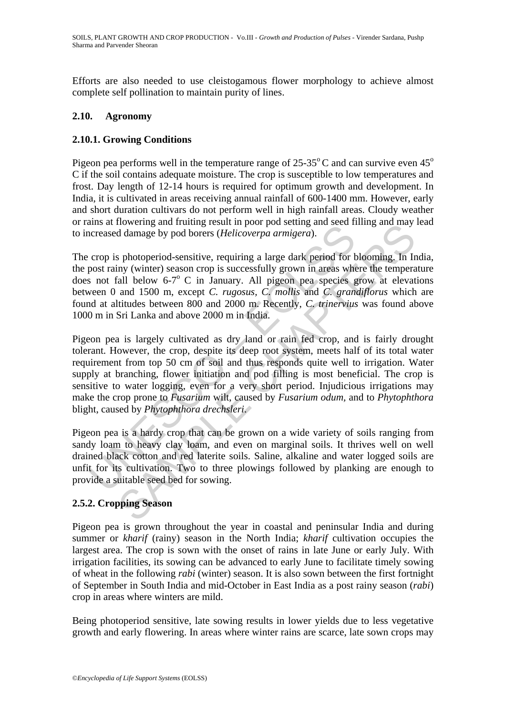Efforts are also needed to use cleistogamous flower morphology to achieve almost complete self pollination to maintain purity of lines.

# **2.10. Agronomy**

# **2.10.1. Growing Conditions**

Pigeon pea performs well in the temperature range of  $25\text{-}35^{\circ}$ C and can survive even  $45^{\circ}$ C if the soil contains adequate moisture. The crop is susceptible to low temperatures and frost. Day length of 12-14 hours is required for optimum growth and development. In India, it is cultivated in areas receiving annual rainfall of 600-1400 mm. However, early and short duration cultivars do not perform well in high rainfall areas. Cloudy weather or rains at flowering and fruiting result in poor pod setting and seed filling and may lead to increased damage by pod borers (*Helicoverpa armigera*).

The crop is photoperiod-sensitive, requiring a large dark period for blooming. In India, the post rainy (winter) season crop is successfully grown in areas where the temperature does not fall below  $6-7^\circ$  C in January. All pigeon pea species grow at elevations between 0 and 1500 m, except *C. rugosus, C. mollis* and *C. grandiflorus* which are found at altitudes between 800 and 2000 m. Recently, *C. trinervius* was found above 1000 m in Sri Lanka and above 2000 m in India.

ans at nowering and naturing resart in poor poor scating and creased damage by pod bores (*Helicoverpa armigera*).<br>
crop is photoperiod-sensitive, requiring a large dark period for b<br>
post rainy (winter) season crop is su nowering and maturing resum in poor pot setund and mate the content and mate of damage by pod borers (*Helicoverpa armigera*).<br>
s photoperiod-sensitive, requiring a large dark period for blooming. In Iral and may by (winte Pigeon pea is largely cultivated as dry land or rain fed crop, and is fairly drought tolerant. However, the crop, despite its deep root system, meets half of its total water requirement from top 50 cm of soil and thus responds quite well to irrigation. Water supply at branching, flower initiation and pod filling is most beneficial. The crop is sensitive to water logging, even for a very short period. Injudicious irrigations may make the crop prone to *Fusarium* wilt, caused by *Fusarium odum,* and to *Phytophthora* blight, caused by *Phytophthora drechsleri*.

Pigeon pea is a hardy crop that can be grown on a wide variety of soils ranging from sandy loam to heavy clay loam, and even on marginal soils. It thrives well on well drained black cotton and red laterite soils. Saline, alkaline and water logged soils are unfit for its cultivation. Two to three plowings followed by planking are enough to provide a suitable seed bed for sowing.

# **2.5.2. Cropping Season**

Pigeon pea is grown throughout the year in coastal and peninsular India and during summer or *kharif* (rainy) season in the North India; *kharif* cultivation occupies the largest area. The crop is sown with the onset of rains in late June or early July. With irrigation facilities, its sowing can be advanced to early June to facilitate timely sowing of wheat in the following *rabi* (winter) season. It is also sown between the first fortnight of September in South India and mid-October in East India as a post rainy season (*rabi*) crop in areas where winters are mild.

Being photoperiod sensitive, late sowing results in lower yields due to less vegetative growth and early flowering. In areas where winter rains are scarce, late sown crops may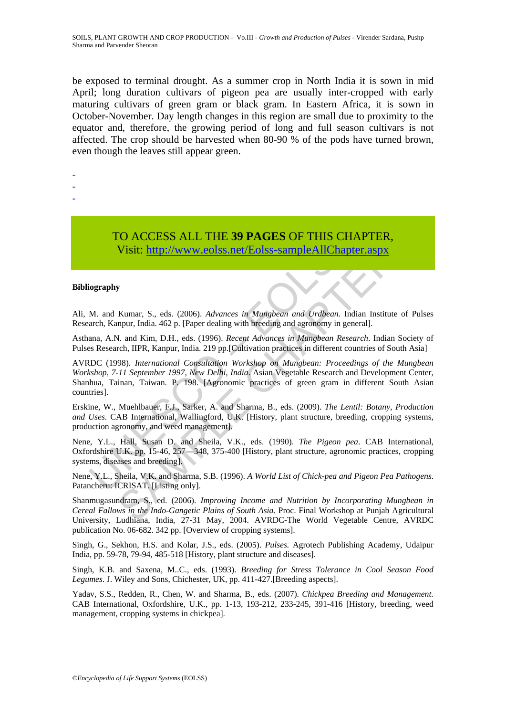be exposed to terminal drought. As a summer crop in North India it is sown in mid April; long duration cultivars of pigeon pea are usually inter-cropped with early maturing cultivars of green gram or black gram. In Eastern Africa, it is sown in October-November. Day length changes in this region are small due to proximity to the equator and, therefore, the growing period of long and full season cultivars is not affected. The crop should be harvested when 80-90 % of the pods have turned brown, even though the leaves still appear green.

-

- -
- -

# TO ACCESS ALL THE **39 PAGES** OF THIS CHAPTER, Visit: http://www.eolss.net/Eolss-sampleAllChapter.aspx

#### **Bibliography**

Ali, M. and Kumar, S., eds. (2006). *Advances in Mungbean and Urdbean.* Indian Institute of Pulses Research, Kanpur, India. 462 p. [Paper dealing with breeding and agronomy in general].

Asthana, A.N. and Kim, D.H., eds. (1996). *Recent Advances in Mungbean Research*. Indian Society of Pulses Research, IIPR, Kanpur, India. 219 pp.[Cultivation practices in different countries of South Asia]

TO ACCESS ALL THE 39 PAGES OF THIS CH/<br>Visit: http://www.eolss.net/Eolss-sampleAllChapte<br>iography<br>M. and Kumar, S., eds. (2006). Advances in Mungbean and Urdbean. India-<br>rch, Kanpur, India. 462 p. [Paper dealing with breed CO ACCESS ALL THE 39 PAGES OF THIS CHAPTER,<br>
Visit: http://www.eolss.net/Folss-sampleAllChapter.aspx<br>
Fig. 1.1112://www.eolss.net/Folss-sampleAllChapter.aspx<br>
Fig. 1.1112://www.eolss.net/Folss-sampleAllChapter.aspx<br>
Fig. 1 AVRDC (1998). *International Consultation Workshop on Mungbean: Proceedings of the Mungbean Workshop, 7-11 September 1997, New Delhi, India*. Asian Vegetable Research and Development Center, Shanhua, Tainan, Taiwan. P. 198. [Agronomic practices of green gram in different South Asian countries].

Erskine, W., Muehlbauer, F.J., Sarker, A. and Sharma, B., eds. (2009). *The Lentil: Botany, Production and Uses*. CAB International, Wallingford, U.K. [History, plant structure, breeding, cropping systems, production agronomy, and weed management].

Nene, Y.L., Hall, Susan D. and Sheila, V.K., eds. (1990). *The Pigeon pea*. CAB International, Oxfordshire U.K. pp. 15-46, 257—348, 375-400 [History, plant structure, agronomic practices, cropping systems, diseases and breeding].

Nene, Y.L., Sheila, V.K. and Sharma, S.B. (1996). *A World List of Chick-pea and Pigeon Pea Pathogens*. Patancheru: ICRISAT. [Listing only].

Shanmugasundram, S., ed. (2006). *Improving Income and Nutrition by Incorporating Mungbean in Cereal Fallows in the Indo-Gangetic Plains of South Asia*. Proc. Final Workshop at Punjab Agricultural University, Ludhiana, India, 27-31 May, 2004. AVRDC-The World Vegetable Centre, AVRDC publication No. 06-682. 342 pp. [Overview of cropping systems].

Singh, G., Sekhon, H.S. and Kolar, J.S., eds. (2005). *Pulses.* Agrotech Publishing Academy, Udaipur India, pp. 59-78, 79-94, 485-518 [History, plant structure and diseases].

Singh, K.B. and Saxena, M..C., eds. (1993). *Breeding for Stress Tolerance in Cool Season Food Legumes*. J. Wiley and Sons, Chichester, UK, pp. 411-427.[Breeding aspects].

Yadav, S.S., Redden, R., Chen, W. and Sharma, B., eds. (2007). *Chickpea Breeding and Management.* CAB International, Oxfordshire, U.K., pp. 1-13, 193-212, 233-245, 391-416 [History, breeding, weed management, cropping systems in chickpea].